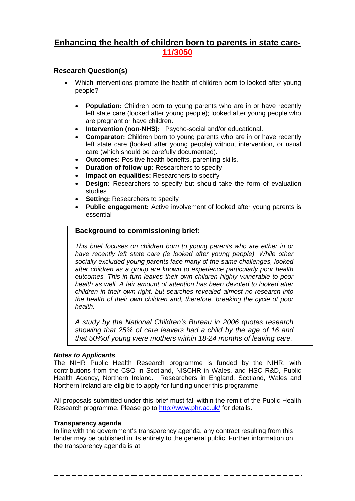# **Enhancing the health of children born to parents in state care-11/3050**

## **Research Question(s)**

- Which interventions promote the health of children born to looked after young people?
	- **Population:** Children born to young parents who are in or have recently left state care (looked after young people); looked after young people who are pregnant or have children.
	- **Intervention (non-NHS):** Psycho-social and/or educational.
	- **Comparator:** Children born to young parents who are in or have recently left state care (looked after young people) without intervention, or usual care (which should be carefully documented).
	- **Outcomes:** Positive health benefits, parenting skills.
	- **Duration of follow up:** Researchers to specify
	- **Impact on equalities:** Researchers to specify
	- **Design:** Researchers to specify but should take the form of evaluation studies
	- **Setting: Researchers to specify**
	- **Public engagement:** Active involvement of looked after young parents is essential

## **Background to commissioning brief:**

*This brief focuses on children born to young parents who are either in or have recently left state care (ie looked after young people). While other socially excluded young parents face many of the same challenges, looked after children as a group are known to experience particularly poor health outcomes. This in turn leaves their own children highly vulnerable to poor health as well. A fair amount of attention has been devoted to looked after children in their own right, but searches revealed almost no research into the health of their own children and, therefore, breaking the cycle of poor health.*

*A study by the National Children's Bureau in 2006 quotes research showing that 25% of care leavers had a child by the age of 16 and that 50%of young were mothers within 18-24 months of leaving care.*

### *Notes to Applicants*

The NIHR Public Health Research programme is funded by the NIHR, with contributions from the CSO in Scotland, NISCHR in Wales, and HSC R&D, Public Health Agency, Northern Ireland. Researchers in England, Scotland, Wales and Northern Ireland are eligible to apply for funding under this programme.

All proposals submitted under this brief must fall within the remit of the Public Health Research programme. Please go to<http://www.phr.ac.uk/> for details.

### **Transparency agenda**

In line with the government's transparency agenda, any contract resulting from this tender may be published in its entirety to the general public. Further information on the transparency agenda is at: